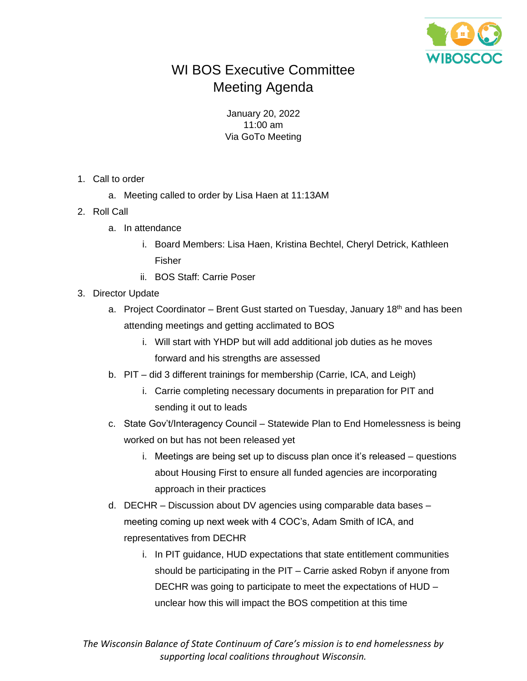

## WI BOS Executive Committee Meeting Agenda

January 20, 2022 11:00 am Via GoTo Meeting

- 1. Call to order
	- a. Meeting called to order by Lisa Haen at 11:13AM
- 2. Roll Call
	- a. In attendance
		- i. Board Members: Lisa Haen, Kristina Bechtel, Cheryl Detrick, Kathleen Fisher
		- ii. BOS Staff: Carrie Poser
- 3. Director Update
	- a. Project Coordinator Brent Gust started on Tuesday, January 18<sup>th</sup> and has been attending meetings and getting acclimated to BOS
		- i. Will start with YHDP but will add additional job duties as he moves forward and his strengths are assessed
	- b. PIT did 3 different trainings for membership (Carrie, ICA, and Leigh)
		- i. Carrie completing necessary documents in preparation for PIT and sending it out to leads
	- c. State Gov't/Interagency Council Statewide Plan to End Homelessness is being worked on but has not been released yet
		- i. Meetings are being set up to discuss plan once it's released questions about Housing First to ensure all funded agencies are incorporating approach in their practices
	- d. DECHR Discussion about DV agencies using comparable data bases meeting coming up next week with 4 COC's, Adam Smith of ICA, and representatives from DECHR
		- i. In PIT guidance, HUD expectations that state entitlement communities should be participating in the PIT – Carrie asked Robyn if anyone from DECHR was going to participate to meet the expectations of HUD – unclear how this will impact the BOS competition at this time

*The Wisconsin Balance of State Continuum of Care's mission is to end homelessness by supporting local coalitions throughout Wisconsin.*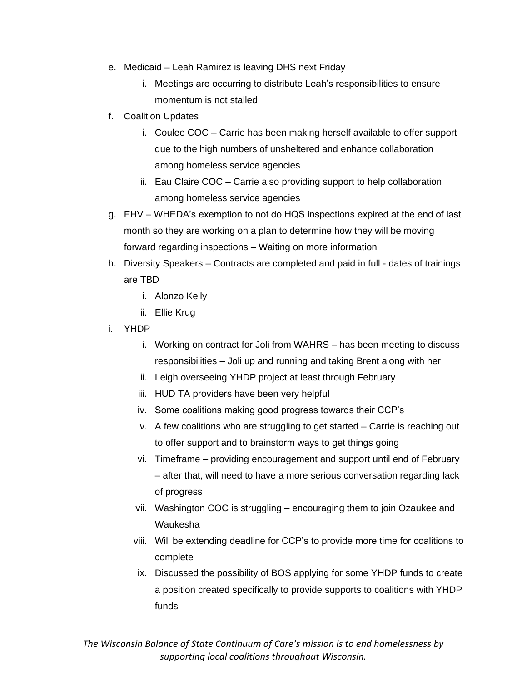- e. Medicaid Leah Ramirez is leaving DHS next Friday
	- i. Meetings are occurring to distribute Leah's responsibilities to ensure momentum is not stalled
- f. Coalition Updates
	- i. Coulee COC Carrie has been making herself available to offer support due to the high numbers of unsheltered and enhance collaboration among homeless service agencies
	- ii. Eau Claire COC Carrie also providing support to help collaboration among homeless service agencies
- g. EHV WHEDA's exemption to not do HQS inspections expired at the end of last month so they are working on a plan to determine how they will be moving forward regarding inspections – Waiting on more information
- h. Diversity Speakers Contracts are completed and paid in full dates of trainings are TBD
	- i. Alonzo Kelly
	- ii. Ellie Krug
- i. YHDP
	- i. Working on contract for Joli from WAHRS has been meeting to discuss responsibilities – Joli up and running and taking Brent along with her
	- ii. Leigh overseeing YHDP project at least through February
	- iii. HUD TA providers have been very helpful
	- iv. Some coalitions making good progress towards their CCP's
	- v. A few coalitions who are struggling to get started Carrie is reaching out to offer support and to brainstorm ways to get things going
	- vi. Timeframe providing encouragement and support until end of February – after that, will need to have a more serious conversation regarding lack of progress
	- vii. Washington COC is struggling encouraging them to join Ozaukee and Waukesha
	- viii. Will be extending deadline for CCP's to provide more time for coalitions to complete
	- ix. Discussed the possibility of BOS applying for some YHDP funds to create a position created specifically to provide supports to coalitions with YHDP funds

*The Wisconsin Balance of State Continuum of Care's mission is to end homelessness by supporting local coalitions throughout Wisconsin.*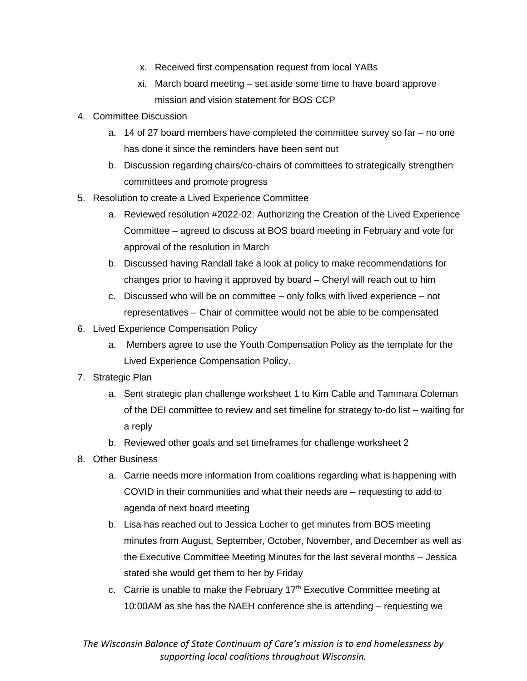- x. Received first compensation request from local YABs
- xi. March board meeting set aside some time to have board approve mission and vision statement for BOS CCP
- 4. Committee Discussion
	- a. 14 of 27 board members have completed the committee survey so far no one has done it since the reminders have been sent out
	- b. Discussion regarding chairs/co-chairs of committees to strategically strengthen committees and promote progress
- 5. Resolution to create a Lived Experience Committee
	- a. Reviewed resolution #2022-02: Authorizing the Creation of the Lived Experience Committee – agreed to discuss at BOS board meeting in February and vote for approval of the resolution in March
	- b. Discussed having Randall take a look at policy to make recommendations for changes prior to having it approved by board – Cheryl will reach out to him
	- c. Discussed who will be on committee only folks with lived experience not representatives – Chair of committee would not be able to be compensated
- 6. Lived Experience Compensation Policy
	- a. Members agree to use the Youth Compensation Policy as the template for the Lived Experience Compensation Policy.
- 7. Strategic Plan
	- a. Sent strategic plan challenge worksheet 1 to Kim Cable and Tammara Coleman of the DEI committee to review and set timeline for strategy to-do list – waiting for a reply
	- b. Reviewed other goals and set timeframes for challenge worksheet 2
- 8. Other Business
	- a. Carrie needs more information from coalitions regarding what is happening with COVID in their communities and what their needs are – requesting to add to agenda of next board meeting
	- b. Lisa has reached out to Jessica Locher to get minutes from BOS meeting minutes from August, September, October, November, and December as well as the Executive Committee Meeting Minutes for the last several months – Jessica stated she would get them to her by Friday
	- c. Carrie is unable to make the February  $17<sup>th</sup>$  Executive Committee meeting at 10:00AM as she has the NAEH conference she is attending – requesting we

*The Wisconsin Balance of State Continuum of Care's mission is to end homelessness by supporting local coalitions throughout Wisconsin.*